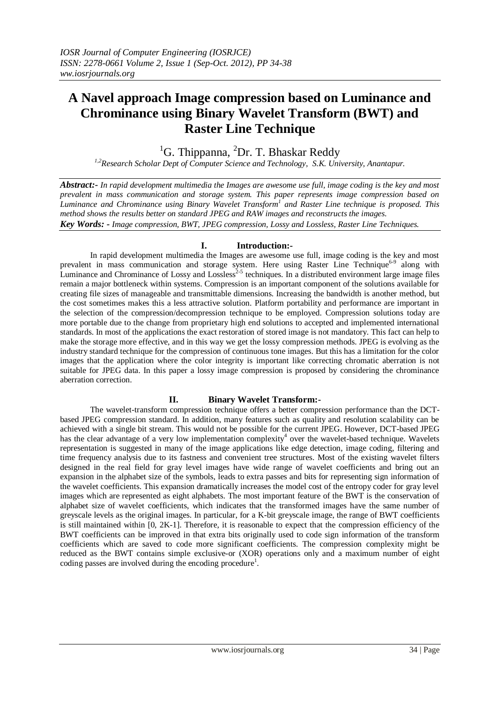# **A Navel approach Image compression based on Luminance and Chrominance using Binary Wavelet Transform (BWT) and Raster Line Technique**

 ${}^{1}$ G. Thippanna,  ${}^{2}$ Dr. T. Bhaskar Reddy

*1,2Research Scholar Dept of Computer Science and Technology, S.K. University, Anantapur.*

*Abstract:- In rapid development multimedia the Images are awesome use full, image coding is the key and most prevalent in mass communication and storage system. This paper represents image compression based on Luminance and Chrominance using Binary Wavelet Transform<sup>1</sup> and Raster Line technique is proposed. This method shows the results better on standard JPEG and RAW images and reconstructs the images. Key Words: - Image compression, BWT, JPEG compression, Lossy and Lossless, Raster Line Techniques.*

## **I. Introduction:-**

In rapid development multimedia the Images are awesome use full, image coding is the key and most prevalent in mass communication and storage system. Here using Raster Line Technique<sup>6-9</sup> along with Luminance and Chrominance of Lossy and Lossless<sup>2-5</sup> techniques. In a distributed environment large image files remain a major bottleneck within systems. Compression is an important component of the solutions available for creating file sizes of manageable and transmittable dimensions. Increasing the bandwidth is another method, but the cost sometimes makes this a less attractive solution. Platform portability and performance are important in the selection of the compression/decompression technique to be employed. Compression solutions today are more portable due to the change from proprietary high end solutions to accepted and implemented international standards. In most of the applications the exact restoration of stored image is not mandatory. This fact can help to make the storage more effective, and in this way we get the lossy compression methods. JPEG is evolving as the industry standard technique for the compression of continuous tone images. But this has a limitation for the color images that the application where the color integrity is important like correcting chromatic aberration is not suitable for JPEG data. In this paper a lossy image compression is proposed by considering the chrominance aberration correction.

#### **II. Binary Wavelet Transform:-**

The wavelet-transform compression technique offers a better compression performance than the DCTbased JPEG compression standard. In addition, many features such as quality and resolution scalability can be achieved with a single bit stream. This would not be possible for the current JPEG. However, DCT-based JPEG has the clear advantage of a very low implementation complexity<sup>4</sup> over the wavelet-based technique. Wavelets representation is suggested in many of the image applications like edge detection, image coding, filtering and time frequency analysis due to its fastness and convenient tree structures. Most of the existing wavelet filters designed in the real field for gray level images have wide range of wavelet coefficients and bring out an expansion in the alphabet size of the symbols, leads to extra passes and bits for representing sign information of the wavelet coefficients. This expansion dramatically increases the model cost of the entropy coder for gray level images which are represented as eight alphabets. The most important feature of the BWT is the conservation of alphabet size of wavelet coefficients, which indicates that the transformed images have the same number of greyscale levels as the original images. In particular, for a K-bit greyscale image, the range of BWT coefficients is still maintained within [0, 2K-1]. Therefore, it is reasonable to expect that the compression efficiency of the BWT coefficients can be improved in that extra bits originally used to code sign information of the transform coefficients which are saved to code more significant coefficients. The compression complexity might be reduced as the BWT contains simple exclusive-or (XOR) operations only and a maximum number of eight coding passes are involved during the encoding procedure<sup>1</sup>.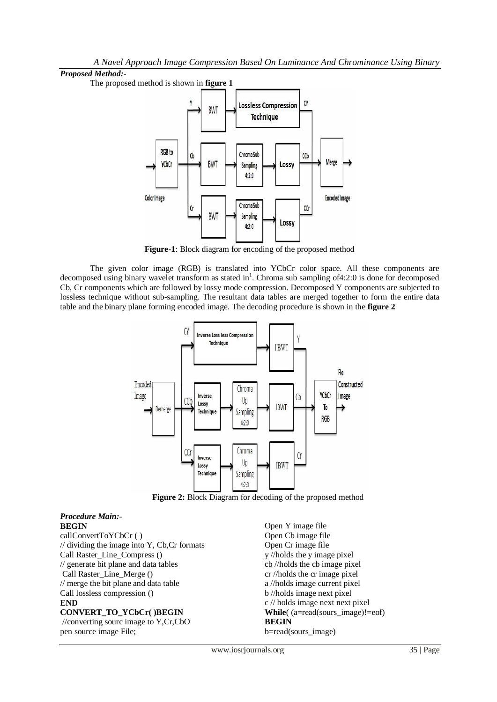#### *Proposed Method:-*

The proposed method is shown in **figure 1**



**Figure-1**: Block diagram for encoding of the proposed method

The given color image (RGB) is translated into YCbCr color space. All these components are decomposed using binary wavelet transform as stated in<sup>1</sup>. Chroma sub sampling of4:2:0 is done for decomposed Cb, Cr components which are followed by lossy mode compression. Decomposed Y components are subjected to lossless technique without sub-sampling. The resultant data tables are merged together to form the entire data table and the binary plane forming encoded image. The decoding procedure is shown in the **figure 2**



Figure 2: Block Diagram for decoding of the proposed method

#### *Procedure Main:-* **BEGIN**

callConvertToYCbCr ( ) // dividing the image into Y, Cb,Cr formats Call Raster\_Line\_Compress () // generate bit plane and data tables Call Raster\_Line\_Merge () // merge the bit plane and data table Call lossless compression () **END CONVERT\_TO\_YCbCr( )BEGIN**

//converting sourc image to Y,Cr,CbO pen source image File;

Open Y image file Open Cb image file Open Cr image file y //holds the y image pixel cb //holds the cb image pixel cr //holds the cr image pixel a //holds image current pixel b //holds image next pixel c // holds image next next pixel **While**( (a=read(sours\_image)!=eof) **BEGIN** b=read(sours\_image)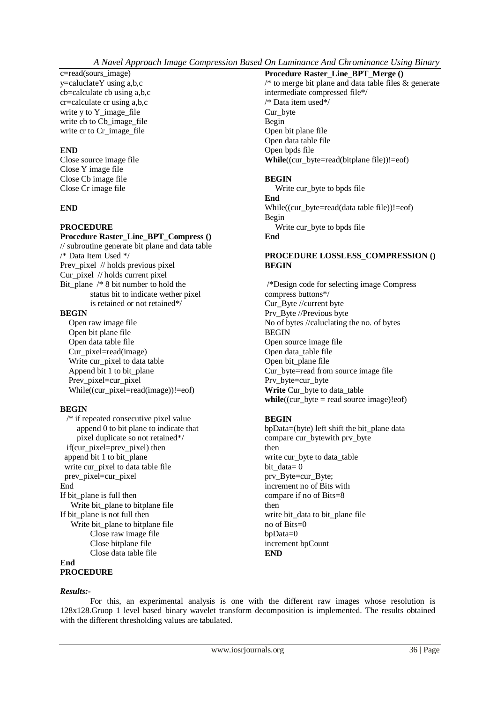*A Navel Approach Image Compression Based On Luminance And Chrominance Using Binary* 

c=read(sours\_image) y=caluclateY using a,b,c cb=calculate cb using a,b,c cr=calculate cr using a,b,c write y to Y\_image\_file write cb to Cb\_image\_file write cr to Cr\_image\_file

# **END**

Close source image file Close Y image file Close Cb image file Close Cr image file

## **END**

## **PROCEDURE**

# **Procedure Raster\_Line\_BPT\_Compress ()**

// subroutine generate bit plane and data table /\* Data Item Used \*/ Prev\_pixel // holds previous pixel Cur\_pixel // holds current pixel Bit\_plane /\* 8 bit number to hold the status bit to indicate wether pixel is retained or not retained\*/

# **BEGIN**

 Open raw image file Open bit plane file Open data table file Cur pixel=read(image) Write cur\_pixel to data table Append bit 1 to bit\_plane Prev\_pixel=cur\_pixel While((cur\_pixel=read(image))!=eof)

#### **BEGIN**

 /\* if repeated consecutive pixel value append 0 to bit plane to indicate that pixel duplicate so not retained\*/ if(cur\_pixel=prev\_pixel) then append bit 1 to bit\_plane write cur\_pixel to data table file prev\_pixel=cur\_pixel End If bit\_plane is full then Write bit plane to bitplane file If bit plane is not full then Write bit\_plane to bitplane file Close raw image file Close bitplane file Close data table file

 $/*$  to merge bit plane and data table files  $&$  generate intermediate compressed file\*/ /\* Data item used\*/ Cur\_byte Begin Open bit plane file Open data table file Open bpds file **While**((cur\_byte=read(bitplane file))!=eof)

**Procedure Raster\_Line\_BPT\_Merge ()**

#### **BEGIN**

Write cur\_byte to bpds file **End** While((cur\_byte=read(data table file))!=eof) Begin Write cur\_byte to bpds file **End**

#### **PROCEDURE LOSSLESS\_COMPRESSION () BEGIN**

/\*Design code for selecting image Compress compress buttons\*/ Cur\_Byte //current byte Prv\_Byte //Previous byte No of bytes //caluclating the no. of bytes BEGIN Open source image file Open data\_table file Open bit\_plane file Cur\_byte=read from source image file Prv\_byte=cur\_byte **Write** Cur\_byte to data\_table  $while((cur_b) \leq \text{read source image})! \neq \text{of})$ 

# **BEGIN**

bpData=(byte) left shift the bit\_plane data compare cur\_bytewith prv\_byte then write cur\_byte to data\_table bit\_data= 0 prv\_Byte=cur\_Byte; increment no of Bits with compare if no of Bits=8 then write bit\_data to bit\_plane file no of Bits=0 bpData=0 increment bpCount **END**

**End**

# **PROCEDURE**

#### *Results:-*

For this, an experimental analysis is one with the different raw images whose resolution is 128x128.Gruop 1 level based binary wavelet transform decomposition is implemented. The results obtained with the different thresholding values are tabulated.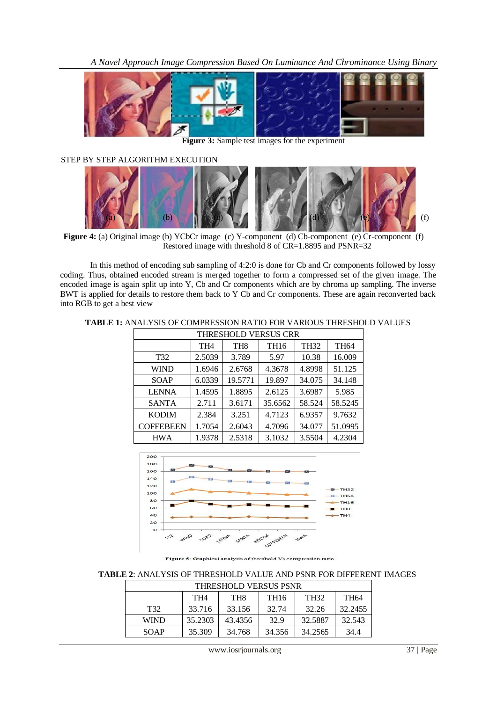

**Figure 3:** Sample test images for the experiment

STEP BY STEP ALGORITHM EXECUTION



**Figure 4:** (a) Original image (b) YCbCr image (c) Y-component (d) Cb-component (e) Cr-component (f) Restored image with threshold 8 of CR=1.8895 and PSNR=32

In this method of encoding sub sampling of 4:2:0 is done for Cb and Cr components followed by lossy coding. Thus, obtained encoded stream is merged together to form a compressed set of the given image. The encoded image is again split up into Y, Cb and Cr components which are by chroma up sampling. The inverse BWT is applied for details to restore them back to Y Cb and Cr components. These are again reconverted back into RGB to get a best view

#### **TABLE 1:** ANALYSIS OF COMPRESSION RATIO FOR VARIOUS THRESHOLD VALUES

| <b>THRESHOLD VERSUS CRR</b> |                 |                 |             |             |         |  |  |
|-----------------------------|-----------------|-----------------|-------------|-------------|---------|--|--|
|                             | TH <sub>4</sub> | TH <sub>8</sub> | <b>TH16</b> | <b>TH32</b> | TH64    |  |  |
| T32                         | 2.5039          | 3.789           | 5.97        | 10.38       | 16.009  |  |  |
| WIND                        | 1.6946          | 2.6768          | 4.3678      | 4.8998      | 51.125  |  |  |
| SOAP                        | 6.0339          | 19.5771         | 19.897      | 34.075      | 34.148  |  |  |
| <b>LENNA</b>                | 1.4595          | 1.8895          | 2.6125      | 3.6987      | 5.985   |  |  |
| <b>SANTA</b>                | 2.711           | 3.6171          | 35.6562     | 58.524      | 58.5245 |  |  |
| <b>KODIM</b>                | 2.384           | 3.251           | 4.7123      | 6.9357      | 9.7632  |  |  |
| <b>COFFEBEEN</b>            | 1.7054          | 2.6043          | 4.7096      | 34.077      | 51.0995 |  |  |
| <b>HWA</b>                  | 1.9378          | 2.5318          | 3.1032      | 3.5504      | 4.2304  |  |  |



Figure 5: Graphical analysis of threshold Vs compression ratio

#### **TABLE 2**: ANALYSIS OF THRESHOLD VALUE AND PSNR FOR DIFFERENT IMAGES

| THRESHOLD VERSUS PSNR |                 |                 |                  |         |         |  |  |
|-----------------------|-----------------|-----------------|------------------|---------|---------|--|--|
|                       | TH <sub>4</sub> | TH <sub>8</sub> | TH <sub>16</sub> | TH32    | TH64    |  |  |
| T <sub>32</sub>       | 33.716          | 33.156          | 32.74            | 32.26   | 32.2455 |  |  |
| <b>WIND</b>           | 35.2303         | 43.4356         | 32.9             | 32.5887 | 32.543  |  |  |
| SOAP                  | 35.309          | 34.768          | 34.356           | 34.2565 | 34.4    |  |  |